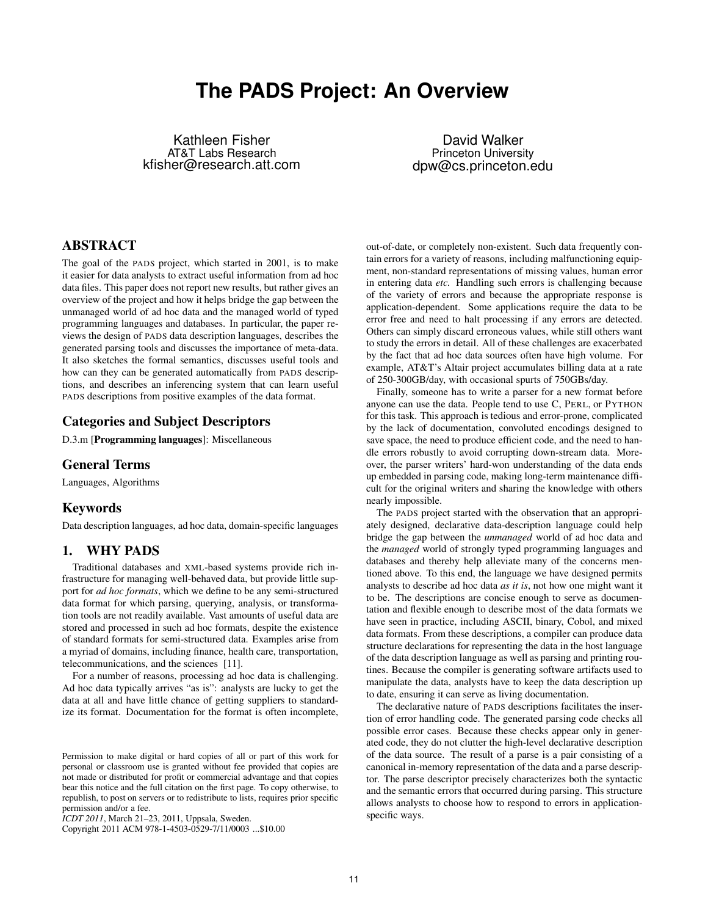# **The PADS Project: An Overview**

Kathleen Fisher AT&T Labs Research kfisher@research.att.com

David Walker Princeton University dpw@cs.princeton.edu

# **ABSTRACT**

The goal of the PADS project, which started in 2001, is to make it easier for data analysts to extract useful information from ad hoc data files. This paper does not report new results, but rather gives an overview of the project and how it helps bridge the gap between the unmanaged world of ad hoc data and the managed world of typed programming languages and databases. In particular, the paper reviews the design of PADS data description languages, describes the generated parsing tools and discusses the importance of meta-data. It also sketches the formal semantics, discusses useful tools and how can they can be generated automatically from PADS descriptions, and describes an inferencing system that can learn useful PADS descriptions from positive examples of the data format.

## **Categories and Subject Descriptors**

D.3.m [**Programming languages**]: Miscellaneous

## **General Terms**

Languages, Algorithms

## **Keywords**

Data description languages, ad hoc data, domain-specific languages

## **1. WHY PADS**

Traditional databases and XML-based systems provide rich infrastructure for managing well-behaved data, but provide little support for *ad hoc formats*, which we define to be any semi-structured data format for which parsing, querying, analysis, or transformation tools are not readily available. Vast amounts of useful data are stored and processed in such ad hoc formats, despite the existence of standard formats for semi-structured data. Examples arise from a myriad of domains, including finance, health care, transportation, telecommunications, and the sciences [11].

For a number of reasons, processing ad hoc data is challenging. Ad hoc data typically arrives "as is": analysts are lucky to get the data at all and have little chance of getting suppliers to standardize its format. Documentation for the format is often incomplete,

Copyright 2011 ACM 978-1-4503-0529-7/11/0003 ...\$10.00

out-of-date, or completely non-existent. Such data frequently contain errors for a variety of reasons, including malfunctioning equipment, non-standard representations of missing values, human error in entering data *etc.* Handling such errors is challenging because of the variety of errors and because the appropriate response is application-dependent. Some applications require the data to be error free and need to halt processing if any errors are detected. Others can simply discard erroneous values, while still others want to study the errors in detail. All of these challenges are exacerbated by the fact that ad hoc data sources often have high volume. For example, AT&T's Altair project accumulates billing data at a rate of 250-300GB/day, with occasional spurts of 750GBs/day.

Finally, someone has to write a parser for a new format before anyone can use the data. People tend to use C, PERL, or PYTHON for this task. This approach is tedious and error-prone, complicated by the lack of documentation, convoluted encodings designed to save space, the need to produce efficient code, and the need to handle errors robustly to avoid corrupting down-stream data. Moreover, the parser writers' hard-won understanding of the data ends up embedded in parsing code, making long-term maintenance difficult for the original writers and sharing the knowledge with others nearly impossible.

The PADS project started with the observation that an appropriately designed, declarative data-description language could help bridge the gap between the *unmanaged* world of ad hoc data and the *managed* world of strongly typed programming languages and databases and thereby help alleviate many of the concerns mentioned above. To this end, the language we have designed permits analysts to describe ad hoc data *as it is*, not how one might want it to be. The descriptions are concise enough to serve as documentation and flexible enough to describe most of the data formats we have seen in practice, including ASCII, binary, Cobol, and mixed data formats. From these descriptions, a compiler can produce data structure declarations for representing the data in the host language of the data description language as well as parsing and printing routines. Because the compiler is generating software artifacts used to manipulate the data, analysts have to keep the data description up to date, ensuring it can serve as living documentation.

The declarative nature of PADS descriptions facilitates the insertion of error handling code. The generated parsing code checks all possible error cases. Because these checks appear only in generated code, they do not clutter the high-level declarative description of the data source. The result of a parse is a pair consisting of a canonical in-memory representation of the data and a parse descriptor. The parse descriptor precisely characterizes both the syntactic and the semantic errors that occurred during parsing. This structure allows analysts to choose how to respond to errors in applicationspecific ways.

Permission to make digital or hard copies of all or part of this work for personal or classroom use is granted without fee provided that copies are not made or distributed for profit or commercial advantage and that copies bear this notice and the full citation on the first page. To copy otherwise, to republish, to post on servers or to redistribute to lists, requires prior specific permission and/or a fee.

*ICDT 2011*, March 21–23, 2011, Uppsala, Sweden.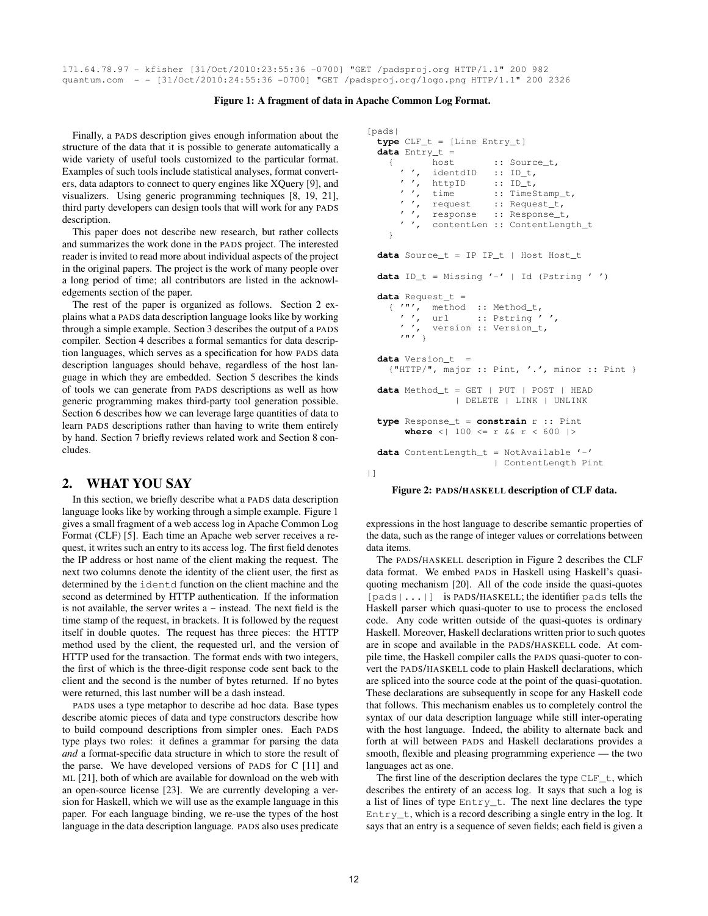171.64.78.97 - kfisher [31/Oct/2010:23:55:36 -0700] "GET /padsproj.org HTTP/1.1" 200 982 quantum.com - - [31/Oct/2010:24:55:36 -0700] "GET /padsproj.org/logo.png HTTP/1.1" 200 2326

### **Figure 1: A fragment of data in Apache Common Log Format.**

Finally, a PADS description gives enough information about the structure of the data that it is possible to generate automatically a wide variety of useful tools customized to the particular format. Examples of such tools include statistical analyses, format converters, data adaptors to connect to query engines like XQuery [9], and visualizers. Using generic programming techniques [8, 19, 21], third party developers can design tools that will work for any PADS description.

This paper does not describe new research, but rather collects and summarizes the work done in the PADS project. The interested reader is invited to read more about individual aspects of the project in the original papers. The project is the work of many people over a long period of time; all contributors are listed in the acknowledgements section of the paper.

The rest of the paper is organized as follows. Section 2 explains what a PADS data description language looks like by working through a simple example. Section 3 describes the output of a PADS compiler. Section 4 describes a formal semantics for data description languages, which serves as a specification for how PADS data description languages should behave, regardless of the host language in which they are embedded. Section 5 describes the kinds of tools we can generate from PADS descriptions as well as how generic programming makes third-party tool generation possible. Section 6 describes how we can leverage large quantities of data to learn PADS descriptions rather than having to write them entirely by hand. Section 7 briefly reviews related work and Section 8 concludes.

## **2. WHAT YOU SAY**

In this section, we briefly describe what a PADS data description language looks like by working through a simple example. Figure 1 gives a small fragment of a web access log in Apache Common Log Format (CLF) [5]. Each time an Apache web server receives a request, it writes such an entry to its access log. The first field denotes the IP address or host name of the client making the request. The next two columns denote the identity of the client user, the first as determined by the identd function on the client machine and the second as determined by HTTP authentication. If the information is not available, the server writes  $a$  – instead. The next field is the time stamp of the request, in brackets. It is followed by the request itself in double quotes. The request has three pieces: the HTTP method used by the client, the requested url, and the version of HTTP used for the transaction. The format ends with two integers, the first of which is the three-digit response code sent back to the client and the second is the number of bytes returned. If no bytes were returned, this last number will be a dash instead.

PADS uses a type metaphor to describe ad hoc data. Base types describe atomic pieces of data and type constructors describe how to build compound descriptions from simpler ones. Each PADS type plays two roles: it defines a grammar for parsing the data *and* a format-specific data structure in which to store the result of the parse. We have developed versions of PADS for C [11] and ML [21], both of which are available for download on the web with an open-source license [23]. We are currently developing a version for Haskell, which we will use as the example language in this paper. For each language binding, we re-use the types of the host language in the data description language. PADS also uses predicate

```
[pads]
 type CLF_t = [Line Entry_t]
  data Entry_t =
    { host :: Source_t,
      '', identdID :: ID_t,<br>'' httpID :: ID_t,
      ', ', htpID :: ID_t,<br>', time :: Times
      '', time :: TimeStamp_t,<br>''. request :: Request_t,
      '', request :: Request_t,<br>'' response :: Response_t
            response :: Response_t,
             contentLen :: ContentLength_t
    }
  data Source_t = IP IP_t | Host Host_t
  data ID_t = Missing ' -' | Id (Pstring '')data Request_t =
    { '"', method :: Method_t,
      '', url :: Pstring'',
      ' ', version :: Version_t,
      ' "
  data Version_t =
    {"HTTP/", major :: Pint, '.', minor :: Pint }
  data Method t = GET | PUT | POST | HEAD
                 | DELETE | LINK | UNLINK
 type Response_t = constrain r :: Pint
       where \langle 100 \rangle = r \& x \le 600 |>
 data ContentLength_t = NotAvailable '-'
                         | ContentLength Pint
|]
```
#### **Figure 2: PADS/HASKELL description of CLF data.**

expressions in the host language to describe semantic properties of the data, such as the range of integer values or correlations between data items.

The PADS/HASKELL description in Figure 2 describes the CLF data format. We embed PADS in Haskell using Haskell's quasiquoting mechanism [20]. All of the code inside the quasi-quotes [pads | ... | ] is PADS/HASKELL; the identifier pads tells the Haskell parser which quasi-quoter to use to process the enclosed code. Any code written outside of the quasi-quotes is ordinary Haskell. Moreover, Haskell declarations written prior to such quotes are in scope and available in the PADS/HASKELL code. At compile time, the Haskell compiler calls the PADS quasi-quoter to convert the PADS/HASKELL code to plain Haskell declarations, which are spliced into the source code at the point of the quasi-quotation. These declarations are subsequently in scope for any Haskell code that follows. This mechanism enables us to completely control the syntax of our data description language while still inter-operating with the host language. Indeed, the ability to alternate back and forth at will between PADS and Haskell declarations provides a smooth, flexible and pleasing programming experience — the two languages act as one.

The first line of the description declares the type CLF\_t, which describes the entirety of an access log. It says that such a log is a list of lines of type Entry\_t. The next line declares the type Entry\_t, which is a record describing a single entry in the log. It says that an entry is a sequence of seven fields; each field is given a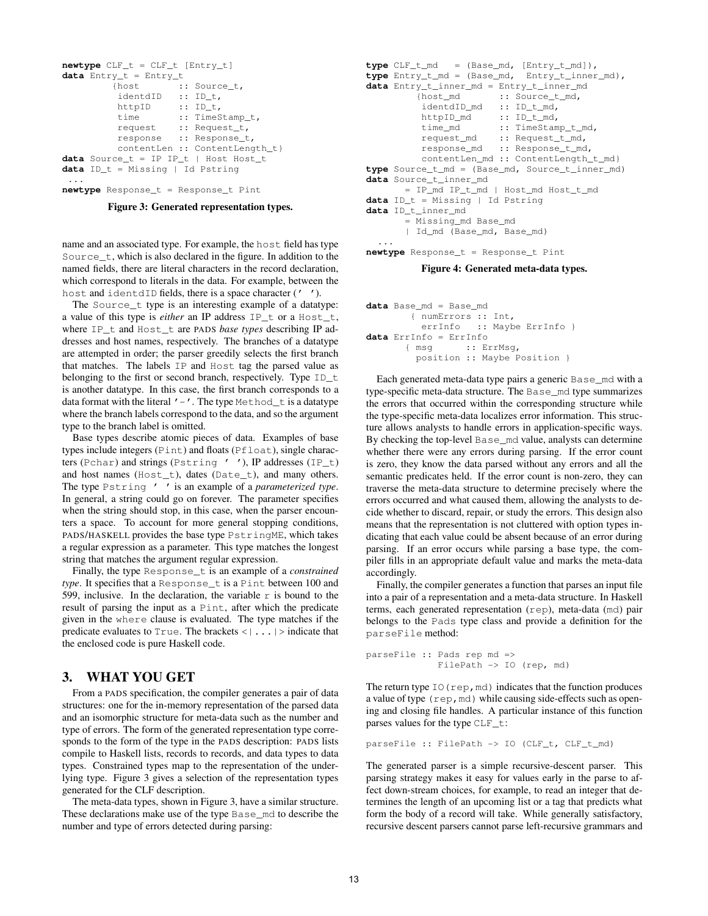```
newtype CLF_t = CLF_t [Entry_t]
data Entry_t = Entry_t<br>{host ::
                     {host :: Source_t,
          identdID :: ID_t,
          httpID :: ID_t,
          time :: TimeStamp_t,
          request :: Request_t,
          response :: Response_t,
          contentLen :: ContentLength_t}
data Source_t = IP IP_t | Host Host_t
data ID_t = Missing | Id Pstring
 ...
```
**newtype** Response\_t = Response\_t Pint

#### **Figure 3: Generated representation types.**

name and an associated type. For example, the host field has type Source\_t, which is also declared in the figure. In addition to the named fields, there are literal characters in the record declaration, which correspond to literals in the data. For example, between the host and identdID fields, there is a space character (' ').

The Source\_t type is an interesting example of a datatype: a value of this type is *either* an IP address IP\_t or a Host\_t, where IP\_t and Host\_t are PADS *base types* describing IP addresses and host names, respectively. The branches of a datatype are attempted in order; the parser greedily selects the first branch that matches. The labels IP and Host tag the parsed value as belonging to the first or second branch, respectively. Type ID\_t is another datatype. In this case, the first branch corresponds to a data format with the literal  $' -'$ . The type Method<sub> $t$ </sub> is a datatype where the branch labels correspond to the data, and so the argument type to the branch label is omitted.

Base types describe atomic pieces of data. Examples of base types include integers (Pint) and floats (Pfloat), single characters (Pchar) and strings (Pstring ' '), IP addresses (IP\_t) and host names (Host\_t), dates (Date\_t), and many others. The type Pstring ' ' is an example of a *parameterized type*. In general, a string could go on forever. The parameter specifies when the string should stop, in this case, when the parser encounters a space. To account for more general stopping conditions, PADS/HASKELL provides the base type PstringME, which takes a regular expression as a parameter. This type matches the longest string that matches the argument regular expression.

Finally, the type Response\_t is an example of a *constrained type*. It specifies that a Response t is a Pint between 100 and 599, inclusive. In the declaration, the variable  $r$  is bound to the result of parsing the input as a Pint, after which the predicate given in the where clause is evaluated. The type matches if the predicate evaluates to  $True$ . The brackets  $\langle \cdot | \cdot | \cdot | \cdot \rangle$  indicate that the enclosed code is pure Haskell code.

## **3. WHAT YOU GET**

From a PADS specification, the compiler generates a pair of data structures: one for the in-memory representation of the parsed data and an isomorphic structure for meta-data such as the number and type of errors. The form of the generated representation type corresponds to the form of the type in the PADS description: PADS lists compile to Haskell lists, records to records, and data types to data types. Constrained types map to the representation of the underlying type. Figure 3 gives a selection of the representation types generated for the CLF description.

The meta-data types, shown in Figure 3, have a similar structure. These declarations make use of the type Base\_md to describe the number and type of errors detected during parsing:

```
type CLF_t_md = (Base_md, [Entry_t_md]),
type Entry_t_md = (Base_md, Entry_t_inner_md),
data Entry t inner md = Entry t inner md
        {host_md :: Source_t_md,
         identdID_md :: ID_t_md,
         httpID_md :: ID_t_md,
         time_md :: TimeStamp_t_md,
         request_md :: Request_t_md,
         response_md :: Response_t_md,
         contentLen_md :: ContentLength_t_md}
type Source_t_md = (Base_md, Source_t_inner_md)
data Source_t_inner_md
      = IP_md IP_t_md | Host_md Host_t_md
data ID_t = Missing | Id Pstring
data ID_t_inner_md
      = Missing_md Base_md
       | Id_md (Base_md, Base_md)
```
**newtype** Response\_t = Response\_t Pint

#### **Figure 4: Generated meta-data types.**

```
data Base_md = Base_md
       { numErrors :: Int,
         errInfo :: Maybe ErrInfo }
data ErrInfo = ErrInfo
      { msg :: ErrMsg,
        position :: Maybe Position }
```
Each generated meta-data type pairs a generic Base\_md with a type-specific meta-data structure. The Base\_md type summarizes the errors that occurred within the corresponding structure while the type-specific meta-data localizes error information. This structure allows analysts to handle errors in application-specific ways. By checking the top-level Base\_md value, analysts can determine whether there were any errors during parsing. If the error count is zero, they know the data parsed without any errors and all the semantic predicates held. If the error count is non-zero, they can traverse the meta-data structure to determine precisely where the errors occurred and what caused them, allowing the analysts to decide whether to discard, repair, or study the errors. This design also means that the representation is not cluttered with option types indicating that each value could be absent because of an error during parsing. If an error occurs while parsing a base type, the compiler fills in an appropriate default value and marks the meta-data accordingly.

Finally, the compiler generates a function that parses an input file into a pair of a representation and a meta-data structure. In Haskell terms, each generated representation (rep), meta-data (md) pair belongs to the Pads type class and provide a definition for the parseFile method:

parseFile :: Pads rep md => FilePath -> IO (rep, md)

The return type  $IO$  (rep, md) indicates that the function produces a value of type (rep, md) while causing side-effects such as opening and closing file handles. A particular instance of this function parses values for the type CLF\_t:

parseFile :: FilePath -> IO (CLF\_t, CLF\_t\_md)

The generated parser is a simple recursive-descent parser. This parsing strategy makes it easy for values early in the parse to affect down-stream choices, for example, to read an integer that determines the length of an upcoming list or a tag that predicts what form the body of a record will take. While generally satisfactory, recursive descent parsers cannot parse left-recursive grammars and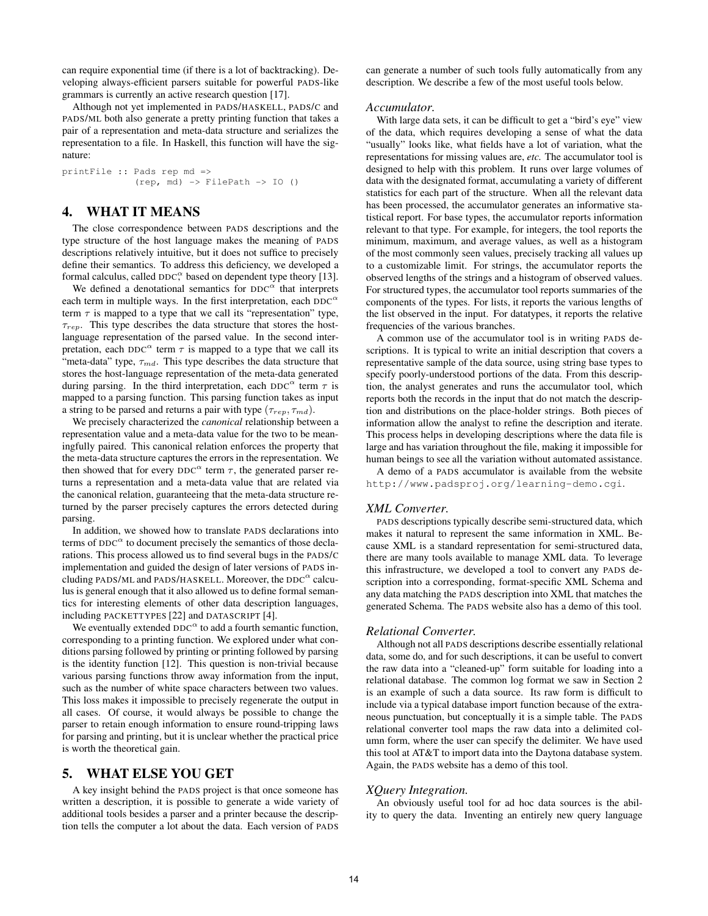can require exponential time (if there is a lot of backtracking). Developing always-efficient parsers suitable for powerful PADS-like grammars is currently an active research question [17].

Although not yet implemented in PADS/HASKELL, PADS/C and PADS/ML both also generate a pretty printing function that takes a pair of a representation and meta-data structure and serializes the representation to a file. In Haskell, this function will have the signature:

printFile :: Pads rep md =>  $(rep, md) \rightarrow FilePath \rightarrow IO()$ 

# **4. WHAT IT MEANS**

The close correspondence between PADS descriptions and the type structure of the host language makes the meaning of PADS descriptions relatively intuitive, but it does not suffice to precisely define their semantics. To address this deficiency, we developed a formal calculus, called  $DDC<sup>\alpha</sup>$  based on dependent type theory [13].

We defined a denotational semantics for  $DDC^{\alpha}$  that interprets each term in multiple ways. In the first interpretation, each  $DDC^{\alpha}$ term  $\tau$  is mapped to a type that we call its "representation" type,  $\tau_{rep}$ . This type describes the data structure that stores the hostlanguage representation of the parsed value. In the second interpretation, each DDC<sup> $\alpha$ </sup> term  $\tau$  is mapped to a type that we call its "meta-data" type,  $\tau_{md}$ . This type describes the data structure that stores the host-language representation of the meta-data generated during parsing. In the third interpretation, each DDC<sup> $\alpha$ </sup> term  $\tau$  is mapped to a parsing function. This parsing function takes as input a string to be parsed and returns a pair with type  $(\tau_{rep}, \tau_{md})$ .

We precisely characterized the *canonical* relationship between a representation value and a meta-data value for the two to be meaningfully paired. This canonical relation enforces the property that the meta-data structure captures the errors in the representation. We then showed that for every  $DDC^{\alpha}$  term  $\tau$ , the generated parser returns a representation and a meta-data value that are related via the canonical relation, guaranteeing that the meta-data structure returned by the parser precisely captures the errors detected during parsing.

In addition, we showed how to translate PADS declarations into terms of  $DDC^{\alpha}$  to document precisely the semantics of those declarations. This process allowed us to find several bugs in the PADS/C implementation and guided the design of later versions of PADS including PADS/ML and PADS/HASKELL. Moreover, the DDC<sup> $\alpha$ </sup> calculus is general enough that it also allowed us to define formal semantics for interesting elements of other data description languages, including PACKETTYPES [22] and DATASCRIPT [4].

We eventually extended  $DDC^{\alpha}$  to add a fourth semantic function, corresponding to a printing function. We explored under what conditions parsing followed by printing or printing followed by parsing is the identity function [12]. This question is non-trivial because various parsing functions throw away information from the input, such as the number of white space characters between two values. This loss makes it impossible to precisely regenerate the output in all cases. Of course, it would always be possible to change the parser to retain enough information to ensure round-tripping laws for parsing and printing, but it is unclear whether the practical price is worth the theoretical gain.

## **5. WHAT ELSE YOU GET**

A key insight behind the PADS project is that once someone has written a description, it is possible to generate a wide variety of additional tools besides a parser and a printer because the description tells the computer a lot about the data. Each version of PADS

can generate a number of such tools fully automatically from any description. We describe a few of the most useful tools below.

#### *Accumulator.*

With large data sets, it can be difficult to get a "bird's eye" view of the data, which requires developing a sense of what the data "usually" looks like, what fields have a lot of variation, what the representations for missing values are, *etc.* The accumulator tool is designed to help with this problem. It runs over large volumes of data with the designated format, accumulating a variety of different statistics for each part of the structure. When all the relevant data has been processed, the accumulator generates an informative statistical report. For base types, the accumulator reports information relevant to that type. For example, for integers, the tool reports the minimum, maximum, and average values, as well as a histogram of the most commonly seen values, precisely tracking all values up to a customizable limit. For strings, the accumulator reports the observed lengths of the strings and a histogram of observed values. For structured types, the accumulator tool reports summaries of the components of the types. For lists, it reports the various lengths of the list observed in the input. For datatypes, it reports the relative frequencies of the various branches.

A common use of the accumulator tool is in writing PADS descriptions. It is typical to write an initial description that covers a representative sample of the data source, using string base types to specify poorly-understood portions of the data. From this description, the analyst generates and runs the accumulator tool, which reports both the records in the input that do not match the description and distributions on the place-holder strings. Both pieces of information allow the analyst to refine the description and iterate. This process helps in developing descriptions where the data file is large and has variation throughout the file, making it impossible for human beings to see all the variation without automated assistance.

A demo of a PADS accumulator is available from the website http://www.padsproj.org/learning-demo.cgi.

#### *XML Converter.*

PADS descriptions typically describe semi-structured data, which makes it natural to represent the same information in XML. Because XML is a standard representation for semi-structured data, there are many tools available to manage XML data. To leverage this infrastructure, we developed a tool to convert any PADS description into a corresponding, format-specific XML Schema and any data matching the PADS description into XML that matches the generated Schema. The PADS website also has a demo of this tool.

#### *Relational Converter.*

Although not all PADS descriptions describe essentially relational data, some do, and for such descriptions, it can be useful to convert the raw data into a "cleaned-up" form suitable for loading into a relational database. The common log format we saw in Section 2 is an example of such a data source. Its raw form is difficult to include via a typical database import function because of the extraneous punctuation, but conceptually it is a simple table. The PADS relational converter tool maps the raw data into a delimited column form, where the user can specify the delimiter. We have used this tool at AT&T to import data into the Daytona database system. Again, the PADS website has a demo of this tool.

#### *XQuery Integration.*

An obviously useful tool for ad hoc data sources is the ability to query the data. Inventing an entirely new query language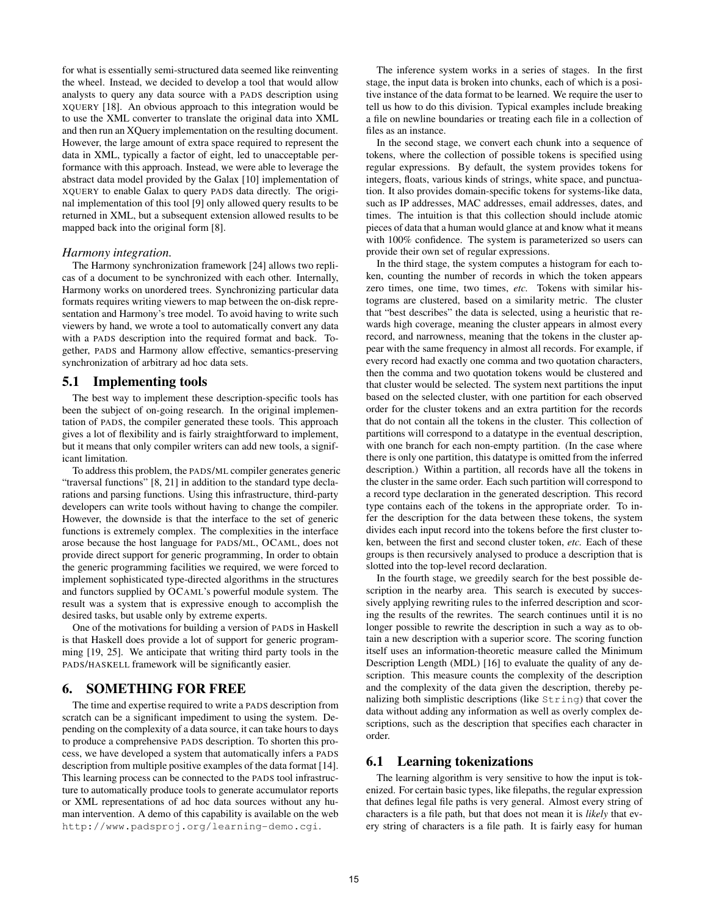for what is essentially semi-structured data seemed like reinventing the wheel. Instead, we decided to develop a tool that would allow analysts to query any data source with a PADS description using XQUERY [18]. An obvious approach to this integration would be to use the XML converter to translate the original data into XML and then run an XQuery implementation on the resulting document. However, the large amount of extra space required to represent the data in XML, typically a factor of eight, led to unacceptable performance with this approach. Instead, we were able to leverage the abstract data model provided by the Galax [10] implementation of XQUERY to enable Galax to query PADS data directly. The original implementation of this tool [9] only allowed query results to be returned in XML, but a subsequent extension allowed results to be mapped back into the original form [8].

#### *Harmony integration.*

The Harmony synchronization framework [24] allows two replicas of a document to be synchronized with each other. Internally, Harmony works on unordered trees. Synchronizing particular data formats requires writing viewers to map between the on-disk representation and Harmony's tree model. To avoid having to write such viewers by hand, we wrote a tool to automatically convert any data with a PADS description into the required format and back. Together, PADS and Harmony allow effective, semantics-preserving synchronization of arbitrary ad hoc data sets.

## **5.1 Implementing tools**

The best way to implement these description-specific tools has been the subject of on-going research. In the original implementation of PADS, the compiler generated these tools. This approach gives a lot of flexibility and is fairly straightforward to implement, but it means that only compiler writers can add new tools, a significant limitation.

To address this problem, the PADS/ML compiler generates generic "traversal functions" [8, 21] in addition to the standard type declarations and parsing functions. Using this infrastructure, third-party developers can write tools without having to change the compiler. However, the downside is that the interface to the set of generic functions is extremely complex. The complexities in the interface arose because the host language for PADS/ML, OCAML, does not provide direct support for generic programming, In order to obtain the generic programming facilities we required, we were forced to implement sophisticated type-directed algorithms in the structures and functors supplied by OCAML's powerful module system. The result was a system that is expressive enough to accomplish the desired tasks, but usable only by extreme experts.

One of the motivations for building a version of PADS in Haskell is that Haskell does provide a lot of support for generic programming [19, 25]. We anticipate that writing third party tools in the PADS/HASKELL framework will be significantly easier.

## **6. SOMETHING FOR FREE**

The time and expertise required to write a PADS description from scratch can be a significant impediment to using the system. Depending on the complexity of a data source, it can take hours to days to produce a comprehensive PADS description. To shorten this process, we have developed a system that automatically infers a PADS description from multiple positive examples of the data format [14]. This learning process can be connected to the PADS tool infrastructure to automatically produce tools to generate accumulator reports or XML representations of ad hoc data sources without any human intervention. A demo of this capability is available on the web http://www.padsproj.org/learning-demo.cgi.

The inference system works in a series of stages. In the first stage, the input data is broken into chunks, each of which is a positive instance of the data format to be learned. We require the user to tell us how to do this division. Typical examples include breaking a file on newline boundaries or treating each file in a collection of files as an instance.

In the second stage, we convert each chunk into a sequence of tokens, where the collection of possible tokens is specified using regular expressions. By default, the system provides tokens for integers, floats, various kinds of strings, white space, and punctuation. It also provides domain-specific tokens for systems-like data, such as IP addresses, MAC addresses, email addresses, dates, and times. The intuition is that this collection should include atomic pieces of data that a human would glance at and know what it means with 100% confidence. The system is parameterized so users can provide their own set of regular expressions.

In the third stage, the system computes a histogram for each token, counting the number of records in which the token appears zero times, one time, two times, *etc.* Tokens with similar histograms are clustered, based on a similarity metric. The cluster that "best describes" the data is selected, using a heuristic that rewards high coverage, meaning the cluster appears in almost every record, and narrowness, meaning that the tokens in the cluster appear with the same frequency in almost all records. For example, if every record had exactly one comma and two quotation characters, then the comma and two quotation tokens would be clustered and that cluster would be selected. The system next partitions the input based on the selected cluster, with one partition for each observed order for the cluster tokens and an extra partition for the records that do not contain all the tokens in the cluster. This collection of partitions will correspond to a datatype in the eventual description, with one branch for each non-empty partition. (In the case where there is only one partition, this datatype is omitted from the inferred description.) Within a partition, all records have all the tokens in the cluster in the same order. Each such partition will correspond to a record type declaration in the generated description. This record type contains each of the tokens in the appropriate order. To infer the description for the data between these tokens, the system divides each input record into the tokens before the first cluster token, between the first and second cluster token, *etc.* Each of these groups is then recursively analysed to produce a description that is slotted into the top-level record declaration.

In the fourth stage, we greedily search for the best possible description in the nearby area. This search is executed by successively applying rewriting rules to the inferred description and scoring the results of the rewrites. The search continues until it is no longer possible to rewrite the description in such a way as to obtain a new description with a superior score. The scoring function itself uses an information-theoretic measure called the Minimum Description Length (MDL) [16] to evaluate the quality of any description. This measure counts the complexity of the description and the complexity of the data given the description, thereby penalizing both simplistic descriptions (like String) that cover the data without adding any information as well as overly complex descriptions, such as the description that specifies each character in order.

## **6.1 Learning tokenizations**

The learning algorithm is very sensitive to how the input is tokenized. For certain basic types, like filepaths, the regular expression that defines legal file paths is very general. Almost every string of characters is a file path, but that does not mean it is *likely* that every string of characters is a file path. It is fairly easy for human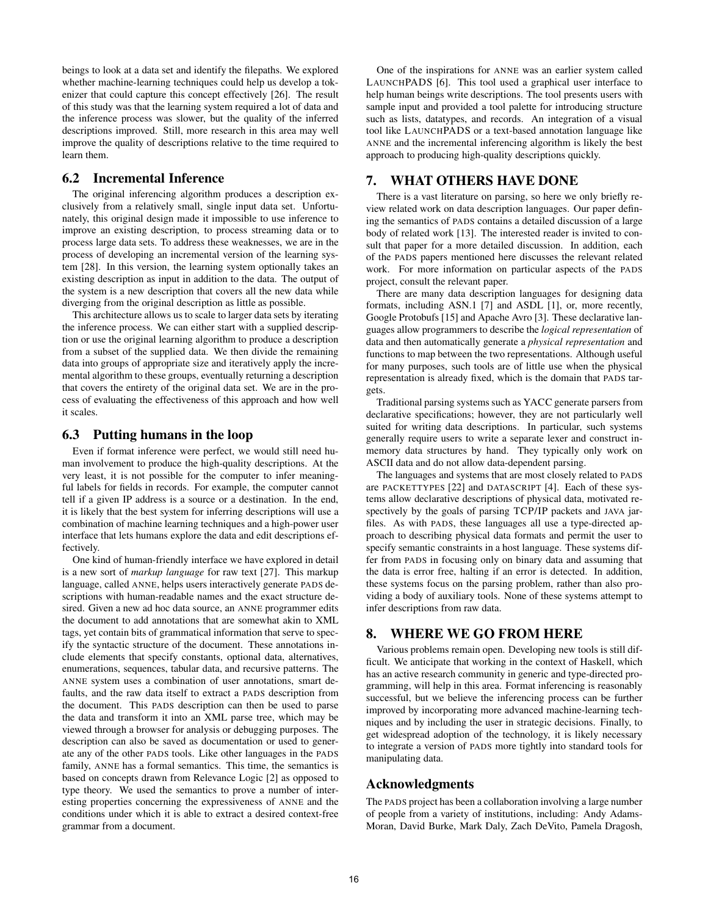beings to look at a data set and identify the filepaths. We explored whether machine-learning techniques could help us develop a tokenizer that could capture this concept effectively [26]. The result of this study was that the learning system required a lot of data and the inference process was slower, but the quality of the inferred descriptions improved. Still, more research in this area may well improve the quality of descriptions relative to the time required to learn them.

## **6.2 Incremental Inference**

The original inferencing algorithm produces a description exclusively from a relatively small, single input data set. Unfortunately, this original design made it impossible to use inference to improve an existing description, to process streaming data or to process large data sets. To address these weaknesses, we are in the process of developing an incremental version of the learning system [28]. In this version, the learning system optionally takes an existing description as input in addition to the data. The output of the system is a new description that covers all the new data while diverging from the original description as little as possible.

This architecture allows us to scale to larger data sets by iterating the inference process. We can either start with a supplied description or use the original learning algorithm to produce a description from a subset of the supplied data. We then divide the remaining data into groups of appropriate size and iteratively apply the incremental algorithm to these groups, eventually returning a description that covers the entirety of the original data set. We are in the process of evaluating the effectiveness of this approach and how well it scales.

## **6.3 Putting humans in the loop**

Even if format inference were perfect, we would still need human involvement to produce the high-quality descriptions. At the very least, it is not possible for the computer to infer meaningful labels for fields in records. For example, the computer cannot tell if a given IP address is a source or a destination. In the end, it is likely that the best system for inferring descriptions will use a combination of machine learning techniques and a high-power user interface that lets humans explore the data and edit descriptions effectively.

One kind of human-friendly interface we have explored in detail is a new sort of *markup language* for raw text [27]. This markup language, called ANNE, helps users interactively generate PADS descriptions with human-readable names and the exact structure desired. Given a new ad hoc data source, an ANNE programmer edits the document to add annotations that are somewhat akin to XML tags, yet contain bits of grammatical information that serve to specify the syntactic structure of the document. These annotations include elements that specify constants, optional data, alternatives, enumerations, sequences, tabular data, and recursive patterns. The ANNE system uses a combination of user annotations, smart defaults, and the raw data itself to extract a PADS description from the document. This PADS description can then be used to parse the data and transform it into an XML parse tree, which may be viewed through a browser for analysis or debugging purposes. The description can also be saved as documentation or used to generate any of the other PADS tools. Like other languages in the PADS family, ANNE has a formal semantics. This time, the semantics is based on concepts drawn from Relevance Logic [2] as opposed to type theory. We used the semantics to prove a number of interesting properties concerning the expressiveness of ANNE and the conditions under which it is able to extract a desired context-free grammar from a document.

One of the inspirations for ANNE was an earlier system called LAUNCHPADS [6]. This tool used a graphical user interface to help human beings write descriptions. The tool presents users with sample input and provided a tool palette for introducing structure such as lists, datatypes, and records. An integration of a visual tool like LAUNCHPADS or a text-based annotation language like ANNE and the incremental inferencing algorithm is likely the best approach to producing high-quality descriptions quickly.

# **7. WHAT OTHERS HAVE DONE**

There is a vast literature on parsing, so here we only briefly review related work on data description languages. Our paper defining the semantics of PADS contains a detailed discussion of a large body of related work [13]. The interested reader is invited to consult that paper for a more detailed discussion. In addition, each of the PADS papers mentioned here discusses the relevant related work. For more information on particular aspects of the PADS project, consult the relevant paper.

There are many data description languages for designing data formats, including ASN.1 [7] and ASDL [1], or, more recently, Google Protobufs [15] and Apache Avro [3]. These declarative languages allow programmers to describe the *logical representation* of data and then automatically generate a *physical representation* and functions to map between the two representations. Although useful for many purposes, such tools are of little use when the physical representation is already fixed, which is the domain that PADS targets.

Traditional parsing systems such as YACC generate parsers from declarative specifications; however, they are not particularly well suited for writing data descriptions. In particular, such systems generally require users to write a separate lexer and construct inmemory data structures by hand. They typically only work on ASCII data and do not allow data-dependent parsing.

The languages and systems that are most closely related to PADS are PACKETTYPES [22] and DATASCRIPT [4]. Each of these systems allow declarative descriptions of physical data, motivated respectively by the goals of parsing TCP/IP packets and JAVA jarfiles. As with PADS, these languages all use a type-directed approach to describing physical data formats and permit the user to specify semantic constraints in a host language. These systems differ from PADS in focusing only on binary data and assuming that the data is error free, halting if an error is detected. In addition, these systems focus on the parsing problem, rather than also providing a body of auxiliary tools. None of these systems attempt to infer descriptions from raw data.

## **8. WHERE WE GO FROM HERE**

Various problems remain open. Developing new tools is still difficult. We anticipate that working in the context of Haskell, which has an active research community in generic and type-directed programming, will help in this area. Format inferencing is reasonably successful, but we believe the inferencing process can be further improved by incorporating more advanced machine-learning techniques and by including the user in strategic decisions. Finally, to get widespread adoption of the technology, it is likely necessary to integrate a version of PADS more tightly into standard tools for manipulating data.

## **Acknowledgments**

The PADS project has been a collaboration involving a large number of people from a variety of institutions, including: Andy Adams-Moran, David Burke, Mark Daly, Zach DeVito, Pamela Dragosh,